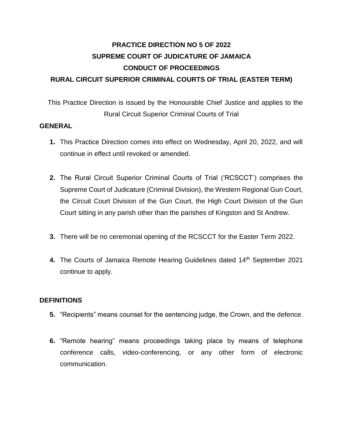# **PRACTICE DIRECTION NO 5 OF 2022 SUPREME COURT OF JUDICATURE OF JAMAICA CONDUCT OF PROCEEDINGS RURAL CIRCUIT SUPERIOR CRIMINAL COURTS OF TRIAL (EASTER TERM)**

This Practice Direction is issued by the Honourable Chief Justice and applies to the Rural Circuit Superior Criminal Courts of Trial

### **GENERAL**

- **1.** This Practice Direction comes into effect on Wednesday, April 20, 2022, and will continue in effect until revoked or amended.
- **2.** The Rural Circuit Superior Criminal Courts of Trial ('RCSCCT') comprises the Supreme Court of Judicature (Criminal Division), the Western Regional Gun Court, the Circuit Court Division of the Gun Court, the High Court Division of the Gun Court sitting in any parish other than the parishes of Kingston and St Andrew.
- **3.** There will be no ceremonial opening of the RCSCCT for the Easter Term 2022.
- **4.** The Courts of Jamaica Remote Hearing Guidelines dated 14th September 2021 continue to apply.

#### **DEFINITIONS**

- **5.** "Recipients" means counsel for the sentencing judge, the Crown, and the defence.
- **6.** "Remote hearing" means proceedings taking place by means of telephone conference calls, video-conferencing, or any other form of electronic communication.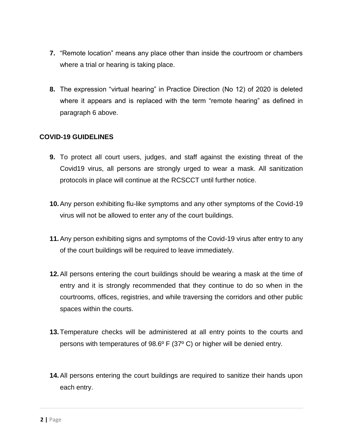- **7.** "Remote location" means any place other than inside the courtroom or chambers where a trial or hearing is taking place.
- **8.** The expression "virtual hearing" in Practice Direction (No 12) of 2020 is deleted where it appears and is replaced with the term "remote hearing" as defined in paragraph 6 above.

#### **COVID-19 GUIDELINES**

- **9.** To protect all court users, judges, and staff against the existing threat of the Covid19 virus, all persons are strongly urged to wear a mask. All sanitization protocols in place will continue at the RCSCCT until further notice.
- **10.**Any person exhibiting flu-like symptoms and any other symptoms of the Covid-19 virus will not be allowed to enter any of the court buildings.
- **11.**Any person exhibiting signs and symptoms of the Covid-19 virus after entry to any of the court buildings will be required to leave immediately.
- **12.**All persons entering the court buildings should be wearing a mask at the time of entry and it is strongly recommended that they continue to do so when in the courtrooms, offices, registries, and while traversing the corridors and other public spaces within the courts.
- **13.**Temperature checks will be administered at all entry points to the courts and persons with temperatures of 98.6º F (37º C) or higher will be denied entry.
- **14.**All persons entering the court buildings are required to sanitize their hands upon each entry.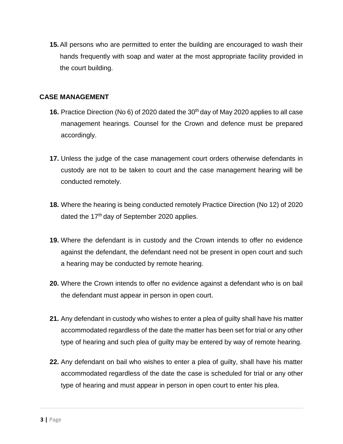**15.**All persons who are permitted to enter the building are encouraged to wash their hands frequently with soap and water at the most appropriate facility provided in the court building.

#### **CASE MANAGEMENT**

- **16.** Practice Direction (No 6) of 2020 dated the 30<sup>th</sup> day of May 2020 applies to all case management hearings. Counsel for the Crown and defence must be prepared accordingly.
- **17.** Unless the judge of the case management court orders otherwise defendants in custody are not to be taken to court and the case management hearing will be conducted remotely.
- **18.** Where the hearing is being conducted remotely Practice Direction (No 12) of 2020 dated the 17<sup>th</sup> day of September 2020 applies.
- **19.** Where the defendant is in custody and the Crown intends to offer no evidence against the defendant, the defendant need not be present in open court and such a hearing may be conducted by remote hearing.
- **20.** Where the Crown intends to offer no evidence against a defendant who is on bail the defendant must appear in person in open court.
- **21.** Any defendant in custody who wishes to enter a plea of guilty shall have his matter accommodated regardless of the date the matter has been set for trial or any other type of hearing and such plea of guilty may be entered by way of remote hearing.
- **22.** Any defendant on bail who wishes to enter a plea of guilty, shall have his matter accommodated regardless of the date the case is scheduled for trial or any other type of hearing and must appear in person in open court to enter his plea.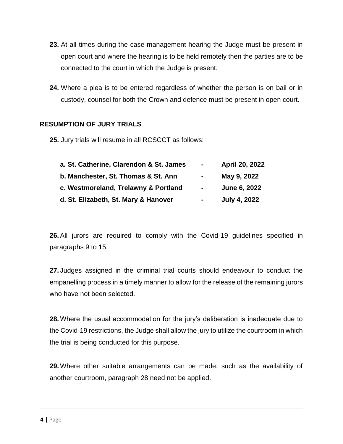- **23.** At all times during the case management hearing the Judge must be present in open court and where the hearing is to be held remotely then the parties are to be connected to the court in which the Judge is present.
- **24.** Where a plea is to be entered regardless of whether the person is on bail or in custody, counsel for both the Crown and defence must be present in open court.

#### **RESUMPTION OF JURY TRIALS**

**25.** Jury trials will resume in all RCSCCT as follows:

| a. St. Catherine, Clarendon & St. James<br>b. Manchester, St. Thomas & St. Ann<br>c. Westmoreland, Trelawny & Portland<br>d. St. Elizabeth, St. Mary & Hanover | $\sim$                                     | <b>April 20, 2022</b>       |
|----------------------------------------------------------------------------------------------------------------------------------------------------------------|--------------------------------------------|-----------------------------|
|                                                                                                                                                                | $\sim$<br>$\blacksquare$<br>$\blacksquare$ | May 9, 2022<br>June 6, 2022 |
|                                                                                                                                                                |                                            |                             |

**26.**All jurors are required to comply with the Covid-19 guidelines specified in paragraphs 9 to 15.

**27.** Judges assigned in the criminal trial courts should endeavour to conduct the empanelling process in a timely manner to allow for the release of the remaining jurors who have not been selected.

**28.** Where the usual accommodation for the jury's deliberation is inadequate due to the Covid-19 restrictions, the Judge shall allow the jury to utilize the courtroom in which the trial is being conducted for this purpose.

**29.** Where other suitable arrangements can be made, such as the availability of another courtroom, paragraph 28 need not be applied.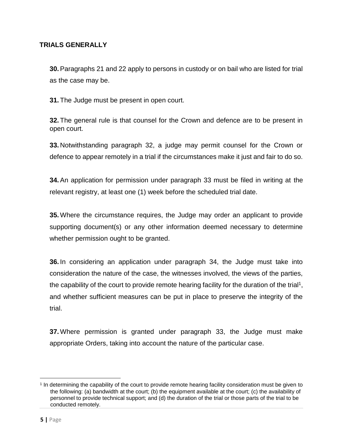### **TRIALS GENERALLY**

**30.**Paragraphs 21 and 22 apply to persons in custody or on bail who are listed for trial as the case may be.

**31.** The Judge must be present in open court.

**32.** The general rule is that counsel for the Crown and defence are to be present in open court.

**33.** Notwithstanding paragraph 32, a judge may permit counsel for the Crown or defence to appear remotely in a trial if the circumstances make it just and fair to do so.

**34.**An application for permission under paragraph 33 must be filed in writing at the relevant registry, at least one (1) week before the scheduled trial date.

**35.** Where the circumstance requires, the Judge may order an applicant to provide supporting document(s) or any other information deemed necessary to determine whether permission ought to be granted.

**36.** In considering an application under paragraph 34, the Judge must take into consideration the nature of the case, the witnesses involved, the views of the parties, the capability of the court to provide remote hearing facility for the duration of the trial<sup>1</sup>, and whether sufficient measures can be put in place to preserve the integrity of the trial.

**37.** Where permission is granted under paragraph 33, the Judge must make appropriate Orders, taking into account the nature of the particular case.

l

<sup>1</sup> In determining the capability of the court to provide remote hearing facility consideration must be given to the following: (a) bandwidth at the court; (b) the equipment available at the court; (c) the availability of personnel to provide technical support; and (d) the duration of the trial or those parts of the trial to be conducted remotely.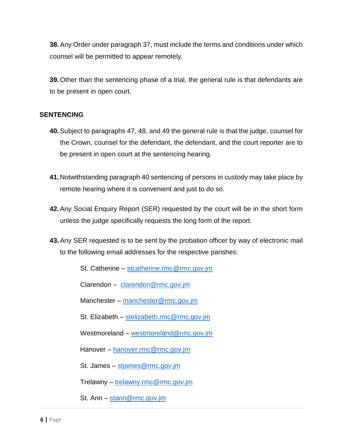**38.**Any Order under paragraph 37, must include the terms and conditions under which counsel will be permitted to appear remotely.

**39.** Other than the sentencing phase of a trial, the general rule is that defendants are to be present in open court.

#### **SENTENCING**

- **40.**Subject to paragraphs 47, 48, and 49 the general rule is that the judge, counsel for the Crown, counsel for the defendant, the defendant, and the court reporter are to be present in open court at the sentencing hearing.
- **41.**Notwithstanding paragraph 40 sentencing of persons in custody may take place by remote hearing where it is convenient and just to do so.
- **42.**Any Social Enquiry Report (SER) requested by the court will be in the short form unless the judge specifically requests the long form of the report.
- **43.**Any SER requested is to be sent by the probation officer by way of electronic mail to the following email addresses for the respective parishes:

St. Catherine – stcatherine.rmc@rmc.gov.jm

Clarendon – clarendon@rmc.gov.jm

Manchester – manchester@rmc.gov.jm

St. Elizabeth – stelizabeth.rmc@rmc.gov.jm

Westmoreland – westmoreland@rmc.gov.jm

Hanover – hanover.rmc@rmc.gov.jm

St. James – stjames@rmc.gov.jm

Trelawny – trelawny.rmc@rmc.gov.jm

St. Ann – stann@rmc.gov.jm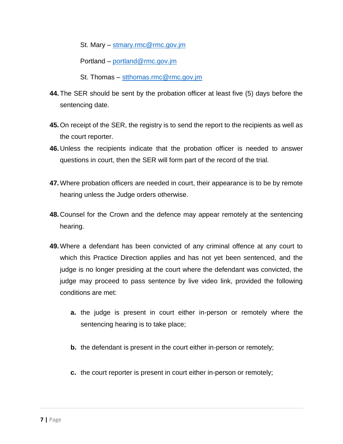St. Mary – stmary.rmc@rmc.gov.jm

Portland – portland@rmc.gov.jm

St. Thomas – stthomas.rmc@rmc.gov.jm

- **44.**The SER should be sent by the probation officer at least five (5) days before the sentencing date.
- **45.**On receipt of the SER, the registry is to send the report to the recipients as well as the court reporter.
- **46.**Unless the recipients indicate that the probation officer is needed to answer questions in court, then the SER will form part of the record of the trial.
- **47.**Where probation officers are needed in court, their appearance is to be by remote hearing unless the Judge orders otherwise.
- **48.**Counsel for the Crown and the defence may appear remotely at the sentencing hearing.
- **49.**Where a defendant has been convicted of any criminal offence at any court to which this Practice Direction applies and has not yet been sentenced, and the judge is no longer presiding at the court where the defendant was convicted, the judge may proceed to pass sentence by live video link, provided the following conditions are met:
	- **a.** the judge is present in court either in-person or remotely where the sentencing hearing is to take place;
	- **b.** the defendant is present in the court either in-person or remotely;
	- **c.** the court reporter is present in court either in-person or remotely;